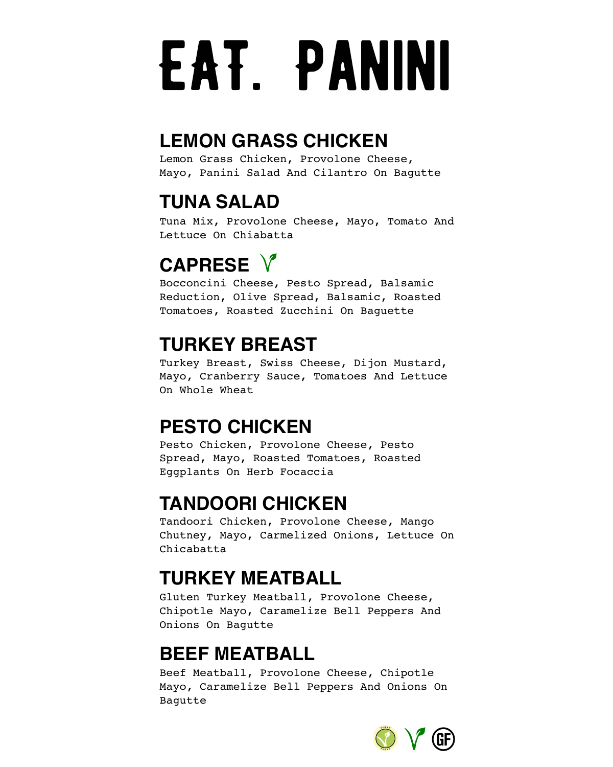# EAT. PANINI

#### **LEMON GRASS CHICKEN**

Lemon Grass Chicken, Provolone Cheese, Mayo, Panini Salad And Cilantro On Bagutte

## **TUNA SALAD**

Tuna Mix, Provolone Cheese, Mayo, Tomato And Lettuce On Chiabatta

# **CAPRESE**

Bocconcini Cheese, Pesto Spread, Balsamic Reduction, Olive Spread, Balsamic, Roasted Tomatoes, Roasted Zucchini On Baguette

# **TURKEY BREAST**

Turkey Breast, Swiss Cheese, Dijon Mustard, Mayo, Cranberry Sauce, Tomatoes And Lettuce On Whole Wheat

### **PESTO CHICKEN**

Pesto Chicken, Provolone Cheese, Pesto Spread, Mayo, Roasted Tomatoes, Roasted Eggplants On Herb Focaccia

### **TANDOORI CHICKEN**

Tandoori Chicken, Provolone Cheese, Mango Chutney, Mayo, Carmelized Onions, Lettuce On Chicabatta

# **TURKEY MEATBALL**

Gluten Turkey Meatball, Provolone Cheese, Chipotle Mayo, Caramelize Bell Peppers And Onions On Bagutte

### **BEEF MEATBALL**

Beef Meatball, Provolone Cheese, Chipotle Mayo, Caramelize Bell Peppers And Onions On Bagutte